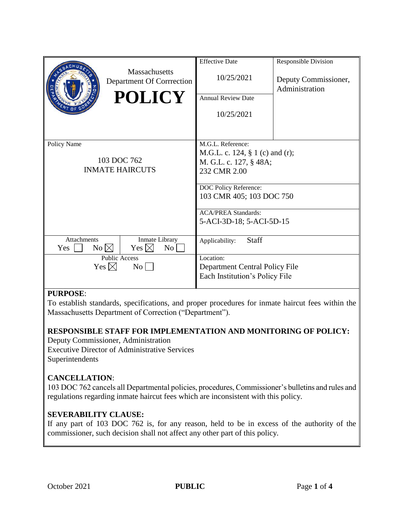|                                                      |                                            | <b>Effective Date</b>              | <b>Responsible Division</b>            |
|------------------------------------------------------|--------------------------------------------|------------------------------------|----------------------------------------|
|                                                      | Massachusetts<br>Department Of Corrrection | 10/25/2021                         | Deputy Commissioner,<br>Administration |
|                                                      | <b>POLICY</b>                              | <b>Annual Review Date</b>          |                                        |
|                                                      |                                            | 10/25/2021                         |                                        |
|                                                      |                                            |                                    |                                        |
| Policy Name<br>103 DOC 762<br><b>INMATE HAIRCUTS</b> |                                            | M.G.L. Reference:                  |                                        |
|                                                      |                                            | M.G.L. c. 124, $\S$ 1 (c) and (r); |                                        |
|                                                      |                                            | M. G.L. c. 127, § 48A;             |                                        |
|                                                      |                                            | 232 CMR 2.00                       |                                        |
|                                                      |                                            | DOC Policy Reference:              |                                        |
|                                                      |                                            | 103 CMR 405; 103 DOC 750           |                                        |
|                                                      |                                            |                                    |                                        |
|                                                      |                                            | <b>ACA/PREA Standards:</b>         |                                        |
|                                                      |                                            | 5-ACI-3D-18; 5-ACI-5D-15           |                                        |
| <b>Attachments</b><br>No $\boxtimes$<br>Yes          | Inmate Library<br>Yes $\boxtimes$<br>No    | Staff<br>Applicability:            |                                        |
| <b>Public Access</b>                                 |                                            | Location:                          |                                        |
| Yes $\boxtimes$<br>$\overline{N_{O}}$                |                                            | Department Central Policy File     |                                        |
|                                                      |                                            | Each Institution's Policy File     |                                        |
|                                                      |                                            |                                    |                                        |

### **PURPOSE**:

To establish standards, specifications, and proper procedures for inmate haircut fees within the Massachusetts Department of Correction ("Department").

### **RESPONSIBLE STAFF FOR IMPLEMENTATION AND MONITORING OF POLICY:**

Deputy Commissioner, Administration Executive Director of Administrative Services Superintendents

### **CANCELLATION**:

103 DOC 762 cancels all Departmental policies, procedures, Commissioner's bulletins and rules and regulations regarding inmate haircut fees which are inconsistent with this policy.

### **SEVERABILITY CLAUSE:**

If any part of 103 DOC 762 is, for any reason, held to be in excess of the authority of the commissioner, such decision shall not affect any other part of this policy.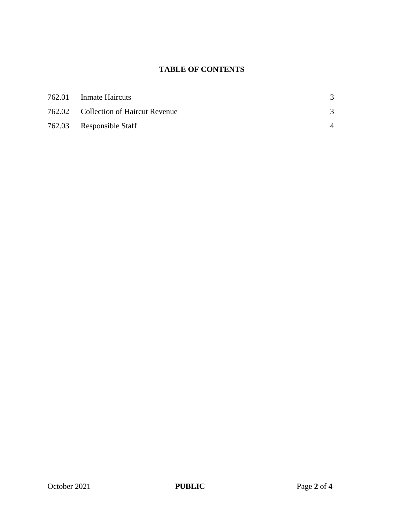# **TABLE OF CONTENTS**

| 762.01 Inmate Haircuts               |  |
|--------------------------------------|--|
| 762.02 Collection of Haircut Revenue |  |
| 762.03 Responsible Staff             |  |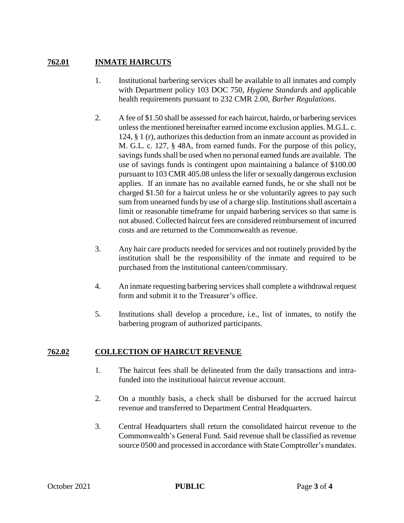## **762.01 INMATE HAIRCUTS**

- 1. Institutional barbering services shall be available to all inmates and comply with Department policy 103 DOC 750, *Hygiene Standards* and applicable health requirements pursuant to 232 CMR 2.00, *Barber Regulations*.
- 2. A fee of \$1.50 shall be assessed for each haircut, hairdo, or barbering services unless the mentioned hereinafter earned income exclusion applies. M.G.L. c. 124, § 1 (r), authorizes this deduction from an inmate account as provided in M. G.L. c. 127, § 48A, from earned funds. For the purpose of this policy, savings funds shall be used when no personal earned funds are available. The use of savings funds is contingent upon maintaining a balance of \$100.00 pursuant to 103 CMR 405.08 unless the lifer or sexually dangerous exclusion applies. If an inmate has no available earned funds, he or she shall not be charged \$1.50 for a haircut unless he or she voluntarily agrees to pay such sum from unearned funds by use of a charge slip. Institutions shall ascertain a limit or reasonable timeframe for unpaid barbering services so that same is not abused. Collected haircut fees are considered reimbursement of incurred costs and are returned to the Commonwealth as revenue.
- 3. Any hair care products needed for services and not routinely provided by the institution shall be the responsibility of the inmate and required to be purchased from the institutional canteen/commissary.
- 4. An inmate requesting barbering services shall complete a withdrawal request form and submit it to the Treasurer's office.
- 5. Institutions shall develop a procedure, i.e., list of inmates, to notify the barbering program of authorized participants.

## **762.02 COLLECTION OF HAIRCUT REVENUE**

- 1. The haircut fees shall be delineated from the daily transactions and intrafunded into the institutional haircut revenue account.
- 2. On a monthly basis, a check shall be disbursed for the accrued haircut revenue and transferred to Department Central Headquarters.
- 3. Central Headquarters shall return the consolidated haircut revenue to the Commonwealth's General Fund. Said revenue shall be classified as revenue source 0500 and processed in accordance with State Comptroller's mandates.